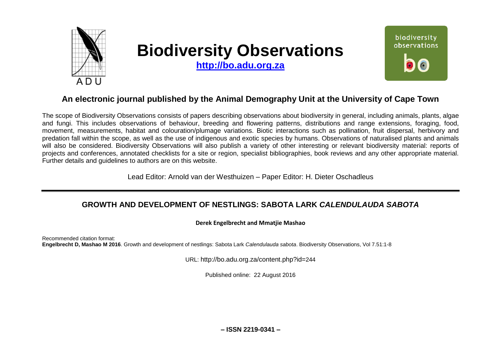

# **Biodiversity Observations**

**[http://bo.adu.org.za](http://bo.adu.org.za/)**



# **An electronic journal published by the Animal Demography Unit at the University of Cape Town**

The scope of Biodiversity Observations consists of papers describing observations about biodiversity in general, including animals, plants, algae and fungi. This includes observations of behaviour, breeding and flowering patterns, distributions and range extensions, foraging, food, movement, measurements, habitat and colouration/plumage variations. Biotic interactions such as pollination, fruit dispersal, herbivory and predation fall within the scope, as well as the use of indigenous and exotic species by humans. Observations of naturalised plants and animals will also be considered. Biodiversity Observations will also publish a variety of other interesting or relevant biodiversity material: reports of projects and conferences, annotated checklists for a site or region, specialist bibliographies, book reviews and any other appropriate material. Further details and guidelines to authors are on this website.

Lead Editor: Arnold van der Westhuizen – Paper Editor: H. Dieter Oschadleus

# **GROWTH AND DEVELOPMENT OF NESTLINGS: SABOTA LARK** *CALENDULAUDA SABOTA*

## **Derek Engelbrecht and Mmatjie Mashao**

Recommended citation format: **Engelbrecht D, Mashao M 2016**. Growth and development of nestlings: Sabota Lark *Calendulauda sabota*. Biodiversity Observations, Vol 7.51:1-8

URL: http://bo.adu.org.za/content.php?id=244

Published online: 22 August 2016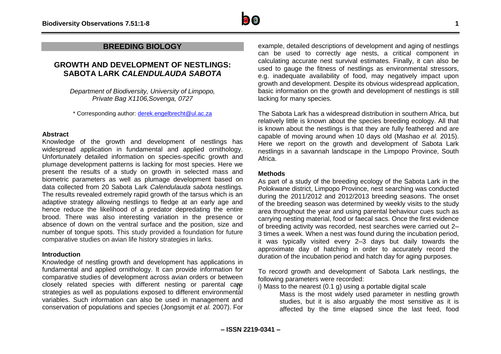

# **BREEDING BIOLOGY**

# **GROWTH AND DEVELOPMENT OF NESTLINGS: SABOTA LARK** *CALENDULAUDA SABOTA*

*Department of Biodiversity, University of Limpopo, Private Bag X1106,Sovenga, 0727*

\* Corresponding author: [derek.engelbrecht@ul.ac.za](mailto:derek.engelbrecht@ul.ac.za)

#### **Abstract**

Knowledge of the growth and development of nestlings has widespread application in fundamental and applied ornithology. Unfortunately detailed information on species-specific growth and plumage development patterns is lacking for most species. Here we present the results of a study on growth in selected mass and biometric parameters as well as plumage development based on data collected from 20 Sabota Lark *Calendulauda sabota* nestlings*.*  The results revealed extremely rapid growth of the tarsus which is an adaptive strategy allowing nestlings to fledge at an early age and hence reduce the likelihood of a predator depredating the entire brood. There was also interesting variation in the presence or absence of down on the ventral surface and the position, size and number of tongue spots. This study provided a foundation for future comparative studies on avian life history strategies in larks.

#### **Introduction**

Knowledge of nestling growth and development has applications in fundamental and applied ornithology. It can provide information for comparative studies of development across avian orders or between closely related species with different nesting or parental care strategies as well as populations exposed to different environmental variables. Such information can also be used in management and conservation of populations and species (Jongsomjit *et al.* 2007). For

example, detailed descriptions of development and aging of nestlings can be used to correctly age nests, a critical component in calculating accurate nest survival estimates. Finally, it can also be used to gauge the fitness of nestlings as environmental stressors, e.g. inadequate availability of food, may negatively impact upon growth and development. Despite its obvious widespread application, basic information on the growth and development of nestlings is still lacking for many species.

The Sabota Lark has a widespread distribution in southern Africa, but relatively little is known about the species breeding ecology. All that is known about the nestlings is that they are fully feathered and are capable of moving around when 10 days old (Mashao *et al.* 2015). Here we report on the growth and development of Sabota Lark nestlings in a savannah landscape in the Limpopo Province, South Africa.

#### **Methods**

As part of a study of the breeding ecology of the Sabota Lark in the Polokwane district, Limpopo Province, nest searching was conducted during the 2011/2012 and 2012/2013 breeding seasons. The onset of the breeding season was determined by weekly visits to the study area throughout the year and using parental behaviour cues such as carrying nesting material, food or faecal sacs. Once the first evidence of breeding activity was recorded, nest searches were carried out 2– 3 times a week. When a nest was found during the incubation period, it was typically visited every 2–3 days but daily towards the approximate day of hatching in order to accurately record the duration of the incubation period and hatch day for aging purposes.

To record growth and development of Sabota Lark nestlings, the following parameters were recorded:

i) Mass to the nearest  $(0.1 g)$  using a portable digital scale

Mass is the most widely used parameter in nestling growth studies, but it is also arguably the most sensitive as it is affected by the time elapsed since the last feed, food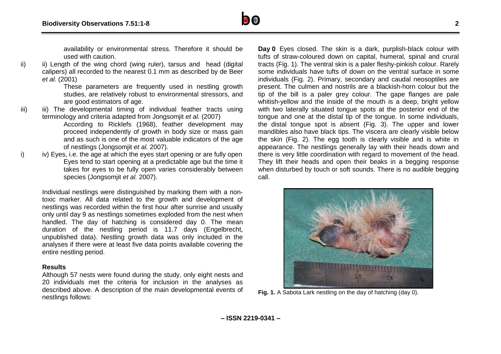availability or environmental stress. Therefore it should be used with caution.

ii) ii) Length of the wing chord (wing ruler), tarsus and head (digital calipers) all recorded to the nearest 0.1 mm as described by de Beer *et al.* (2001)

> These parameters are frequently used in nestling growth studies, are relatively robust to environmental stressors, and are good estimators of age.

iii) iii) The developmental timing of individual feather tracts using terminology and criteria adapted from Jongsomjit *et al.* (2007)

According to Ricklefs (1968), feather development may proceed independently of growth in body size or mass gain and as such is one of the most valuable indicators of the age of nestlings (Jongsomjit *et al.* 2007).

i) iv) Eyes, i.e. the age at which the eyes start opening or are fully open Eyes tend to start opening at a predictable age but the time it takes for eyes to be fully open varies considerably between species (Jongsomjit *et al.* 2007).

Individual nestlings were distinguished by marking them with a nontoxic marker. All data related to the growth and development of nestlings was recorded within the first hour after sunrise and usually only until day 9 as nestlings sometimes exploded from the nest when handled. The day of hatching is considered day 0. The mean duration of the nestling period is 11.7 days (Engelbrecht, unpublished data). Nestling growth data was only included in the analyses if there were at least five data points available covering the entire nestling period.

## **Results**

Although 57 nests were found during the study, only eight nests and 20 individuals met the criteria for inclusion in the analyses as described above. A description of the main developmental events of nestlings follows:

**Day 0** Eyes closed. The skin is a dark, purplish-black colour with tufts of straw-coloured down on capital, humeral, spinal and crural tracts (Fig. 1). The ventral skin is a paler fleshy-pinkish colour. Rarely some individuals have tufts of down on the ventral surface in some individuals (Fig. 2). Primary, secondary and caudal neosoptiles are present. The culmen and nostrils are a blackish-horn colour but the tip of the bill is a paler grey colour. The gape flanges are pale whitish-yellow and the inside of the mouth is a deep, bright yellow with two laterally situated tongue spots at the posterior end of the tongue and one at the distal tip of the tongue. In some individuals, the distal tongue spot is absent (Fig. 3). The upper and lower mandibles also have black tips. The viscera are clearly visible below the skin (Fig. 2). The egg tooth is clearly visible and is white in appearance. The nestlings generally lay with their heads down and there is very little coordination with regard to movement of the head. They lift their heads and open their beaks in a begging response when disturbed by touch or soft sounds. There is no audible begging call.



**Fig. 1.** A Sabota Lark nestling on the day of hatching (day 0).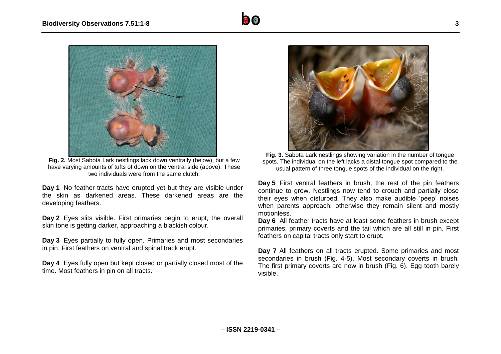

**Fig. 2.** Most Sabota Lark nestlings lack down ventrally (below), but a few have varying amounts of tufts of down on the ventral side (above). These two individuals were from the same clutch.

**Day 1** No feather tracts have erupted yet but they are visible under the skin as darkened areas. These darkened areas are the developing feathers.

**Day 2** Eyes slits visible. First primaries begin to erupt, the overall skin tone is getting darker, approaching a blackish colour.

**Day 3** Eyes partially to fully open. Primaries and most secondaries in pin. First feathers on ventral and spinal track erupt.

**Day 4** Eyes fully open but kept closed or partially closed most of the time. Most feathers in pin on all tracts.



**Fig. 3.** Sabota Lark nestlings showing variation in the number of tongue spots. The individual on the left lacks a distal tongue spot compared to the usual pattern of three tongue spots of the individual on the right.

**Day 5** First ventral feathers in brush, the rest of the pin feathers continue to grow. Nestlings now tend to crouch and partially close their eyes when disturbed. They also make audible 'peep' noises when parents approach; otherwise they remain silent and mostly motionless.

**Day 6** All feather tracts have at least some feathers in brush except primaries, primary coverts and the tail which are all still in pin. First feathers on capital tracts only start to erupt.

**Day 7** All feathers on all tracts erupted. Some primaries and most secondaries in brush (Fig. 4-5). Most secondary coverts in brush. The first primary coverts are now in brush (Fig. 6). Egg tooth barely visible.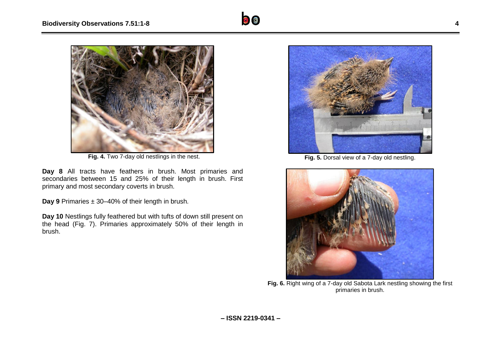

**Fig. 4.** Two 7-day old nestlings in the nest.

**Day 8** All tracts have feathers in brush. Most primaries and secondaries between 15 and 25% of their length in brush. First primary and most secondary coverts in brush.

**Day 9** Primaries ± 30–40% of their length in brush.

**Day 10** Nestlings fully feathered but with tufts of down still present on the head (Fig. 7). Primaries approximately 50% of their length in brush.



**Fig. 5.** Dorsal view of a 7-day old nestling.



**Fig. 6.** Right wing of a 7-day old Sabota Lark nestling showing the first primaries in brush.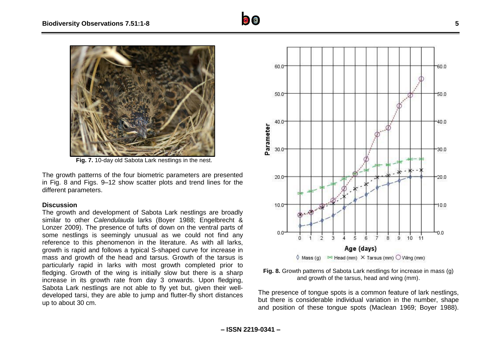

**Fig. 7.** 10-day old Sabota Lark nestlings in the nest.

The growth patterns of the four biometric parameters are presented in Fig. 8 and Figs. 9–12 show scatter plots and trend lines for the different parameters.

## **Discussion**

The growth and development of Sabota Lark nestlings are broadly similar to other *Calendulauda* larks (Boyer 1988; Engelbrecht & Lonzer 2009). The presence of tufts of down on the ventral parts of some nestlings is seemingly unusual as we could not find any reference to this phenomenon in the literature. As with all larks, growth is rapid and follows a typical S-shaped curve for increase in mass and growth of the head and tarsus. Growth of the tarsus is particularly rapid in larks with most growth completed prior to fledging. Growth of the wing is initially slow but there is a sharp increase in its growth rate from day 3 onwards. Upon fledging, Sabota Lark nestlings are not able to fly yet but, given their welldeveloped tarsi, they are able to jump and flutter-fly short distances up to about 30 cm.





The presence of tongue spots is a common feature of lark nestlings, but there is considerable individual variation in the number, shape and position of these tongue spots (Maclean 1969; Boyer 1988).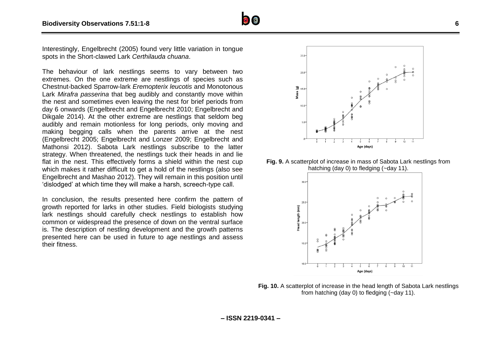

Interestingly, Engelbrecht (2005) found very little variation in tongue spots in the Short-clawed Lark *Certhilauda chuana*.

The behaviour of lark nestlings seems to vary between two extremes. On the one extreme are nestlings of species such as Chestnut-backed Sparrow-lark *Eremopterix leucotis* and Monotonous Lark *Mirafra passerina* that beg audibly and constantly move within the nest and sometimes even leaving the nest for brief periods from day 6 onwards (Engelbrecht and Engelbrecht 2010; Engelbrecht and Dikgale 2014). At the other extreme are nestlings that seldom beg audibly and remain motionless for long periods, only moving and making begging calls when the parents arrive at the nest (Engelbrecht 2005; Engelbrecht and Lonzer 2009; Engelbrecht and Mathonsi 2012). Sabota Lark nestlings subscribe to the latter strategy. When threatened, the nestlings tuck their heads in and lie flat in the nest. This effectively forms a shield within the nest cup which makes it rather difficult to get a hold of the nestlings (also see Engelbrecht and Mashao 2012). They will remain in this position until 'dislodged' at which time they will make a harsh, screech-type call.

In conclusion, the results presented here confirm the pattern of growth reported for larks in other studies. Field biologists studying lark nestlings should carefully check nestlings to establish how common or widespread the presence of down on the ventral surface is. The description of nestling development and the growth patterns presented here can be used in future to age nestlings and assess their fitness.



**Fig. 9.** A scatterplot of increase in mass of Sabota Lark nestlings from hatching (day 0) to fledging (~day 11).



**Fig. 10.** A scatterplot of increase in the head length of Sabota Lark nestlings from hatching (day 0) to fledging (~day 11).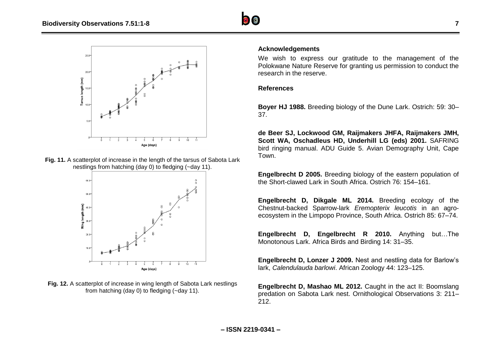



**Fig. 11.** A scatterplot of increase in the length of the tarsus of Sabota Lark nestlings from hatching (day 0) to fledging (~day 11).



**Fig. 12.** A scatterplot of increase in wing length of Sabota Lark nestlings from hatching (day 0) to fledging (~day 11).

## **Acknowledgements**

We wish to express our gratitude to the management of the Polokwane Nature Reserve for granting us permission to conduct the research in the reserve.

## **References**

**Boyer HJ 1988.** Breeding biology of the Dune Lark. Ostrich: 59: 30– 37.

**de Beer SJ, Lockwood GM, Raijmakers JHFA, Raijmakers JMH, Scott WA, Oschadleus HD, Underhill LG (eds) 2001.** SAFRING bird ringing manual. ADU Guide 5. Avian Demography Unit, Cape Town.

**Engelbrecht D 2005.** Breeding biology of the eastern population of the Short-clawed Lark in South Africa. Ostrich 76: 154–161.

**Engelbrecht D, Dikgale ML 2014.** Breeding ecology of the Chestnut-backed Sparrow-lark *Eremopterix leucotis* in an agroecosystem in the Limpopo Province, South Africa. Ostrich 85: 67–74.

**Engelbrecht D, Engelbrecht R 2010.** Anything but…The Monotonous Lark. Africa Birds and Birding 14: 31–35.

**Engelbrecht D, Lonzer J 2009.** Nest and nestling data for Barlow's lark, *Calendulauda barlowi*. African Zoology 44: 123–125.

**Engelbrecht D, Mashao ML 2012.** Caught in the act II: Boomslang predation on Sabota Lark nest. Ornithological Observations 3: 211– 212.